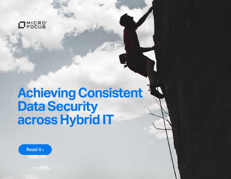

# **Achieving Consistent Data Security across Hybrid IT**

Read it ›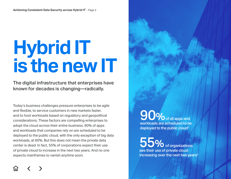# **Hybrid IT is the new IT**

The digital infrastructure that enterprises have known for decades is changing—radically.

Today's business challenges pressure enterprises to be agile and flexible, to service customers in new markets faster, and to host workloads based on regulatory and geopolitical considerations. These factors are compelling enterprises to adopt the cloud across their entire business. 90% of apps and workloads that companies rely on are scheduled to be deployed to the public cloud, with the only exception of big data workloads, at 60%. But this does not mean the private data center is dead. In fact, 55% of corporations expect their use of private cloud to increase in the next two years. And no one expects mainframes to vanish anytime soon.

 $90$  of all apps and workloads are scheduled to be deployed to the public cloud<sup>1</sup>

55% of organizations see their use of private cloud increasing over the next two years $2$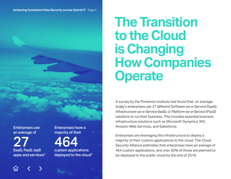

Enterprises use an average of

27 SaaS, PaaS, IaaS apps and services $3$  Enterprises have a majority of their

464 custom applications

deployed to the cloud4

# **The Transition to the Cloud is Changing How Companies Operate**

A survey by the Ponemon institute has found that, on average, today's enterprises use 27 different *Software-as-a-Service* (SaaS), *Infrastructure-as-a-Service* (IaaS), or *Platform-as-a-Service* (PaaS) solutions to run their business. This includes essential business infrastructure solutions such as Microsoft Dynamics 365, Amazon Web Services, and Salesforce.

Enterprises are leveraging this infrastructure to deploy a majority of their custom applications to the cloud. The Cloud Security Alliance estimates that enterprises have an average of 464 custom applications, and over 50% of those are planned to be deployed to the public cloud by the end of 2018.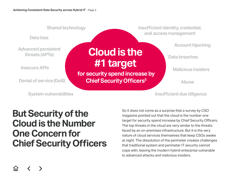

### **But Security of the Cloud is the Number One Concern for Chief Security Officers**

So it does not come as a surprise that a survey by CSO magazine pointed out that the cloud is the number one target for security spend increase by Chief Security Officers. The top threats in the cloud are very similar to the threats faced by an on-premises infrastructure. But it is the very nature of cloud services themselves that keep CSOs awake at night. The dissolution of the perimeter creates challenges that traditional system and perimeter IT security cannot cope with, leaving the modern hybrid enterprise vulnerable to advanced attacks and malicious insiders.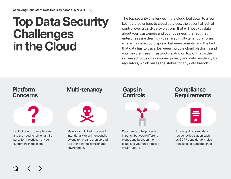# **Top Data Security Challenges in the Cloud**

The top security challenges in the cloud boil down to a few key features unique to cloud services: the essential lack of control over a third-party platform that will host key data about your customers and your business; the fact that enterprises are dealing with shared multi-tenant platforms where malware could spread between tenants; and the fact that data has to travel between multiple cloud platforms and your on-premises infrastructure. And on top of that is the increased focus on consumer privacy and data residency by regulators, which raises the stakes for any data breach.

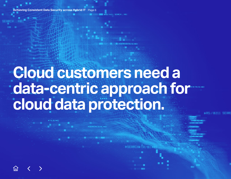**Achieving Consistent Data Security across Hybrid IT** 

**Cloud customers need a data-centric approach for <b>an cloud data protection.**

S:/ 0211 SEARCH.... A01

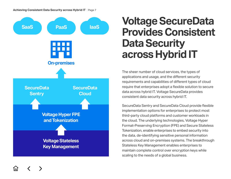

### **Voltage SecureData Provides Consistent Data Security across Hybrid IT**

The sheer number of cloud services, the types of applications and usage, and the different security requirements and capabilities of different types of cloud require that enterprises adopt a flexible solution to secure data across hybrid IT. Voltage SecureData provides consistent data security across hybrid IT.

SecureData Sentry and SecureData Cloud provide flexible implementation options for enterprises to protect most third-party cloud platforms and customer workloads in the cloud. The underlying technologies, Voltage Hyper Format-Preserving Encryption (FPE) and Secure Stateless Tokenization, enable enterprises to embed security into the data, de-identifying sensitive personal information across cloud and on-premises systems. The breakthrough Stateless Key Management enables enterprises to maintain complete control over encryption keys while scaling to the needs of a global business.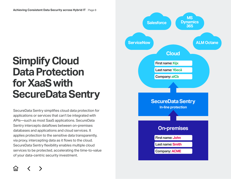### **Simplify Cloud Data Protection for XaaS with SecureData Sentry**

SecureData Sentry simplifies cloud data protection for applications or services that can't be integrated with APIs—such as most SaaS applications. SecureData Sentry intercepts dataflows between on-premises databases and applications and cloud services. It applies protection to the sensitive data transparently, via proxy, intercepting data as it flows to the cloud. SecureData Sentry flexibility enables multiple cloud services to be protected, accelerating the time-to-value of your data-centric security investment.

![](_page_7_Figure_3.jpeg)

1n I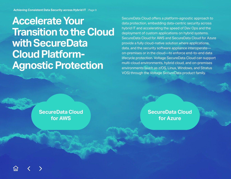**Accelerate Your Transition to the Cloud with SecureData Cloud Platform-Agnostic Protection**

SecureData Cloud offers a platform-agnostic approach to data protection, embedding data-centric security across hybrid IT and accelerating the speed of Dev Ops and the deployment of custom applications on hybrid systems. SecureData Cloud for AWS and SecureData Cloud for Azure provide a fully cloud-native solution where applications, data, and the security software appliance interoperate on-premises or in the cloud—to enforce end-to-end data lifecycle protection. Voltage SecureData Cloud can support multi-cloud environments, hybrid cloud, and on-premises environments (such as z/OS, Linux, Windows, and Stratus VOS) through the Voltage SecureData product family.

**SecureData Cloud for AWS**

**SecureData Cloud for Azure**

![](_page_8_Picture_5.jpeg)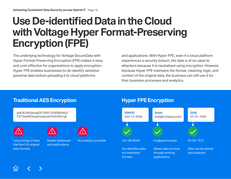## **Use De-identified Data in the Cloud with Voltage Hyper Format-Preserving Encryption (FPE)**

The underlying technology for Voltage SecureData with Hyper Format-Preserving Encryption (FPE) makes it easy and cost-effective for organizations to apply encryption. Hyper FPE enables businesses to de-identify sensitive personal data before uploading it to cloud platforms

and applications. With Hyper FPE, even if a cloud platform experiences a security breach, the data is of no value to attackers because it is neutralized using encryption. However, because Hyper FPE maintains the format, meaning, logic, and context of the original data, the business can still use it for their business processes and analytics.

![](_page_9_Figure_4.jpeg)

### **Traditional AES Encryption Hyper FPE Encryption**

![](_page_9_Figure_7.jpeg)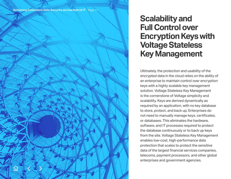### **Scalability and Full Control over Encryption Keys with Voltage Stateless Key Management**

Ultimately, the protection and usability of the encrypted data in the cloud relies on the ability of an enterprise to maintain control over encryption keys with a highly scalable key management solution. Voltage Stateless Key Management is the cornerstone of Voltage simplicity and scalability. Keys are derived dynamically as required by an application, with no key database to store, protect, and back up. Enterprises do not need to manually manage keys, certificates, or databases. This eliminates the hardware, software, and IT processes required to protect the database continuously or to back up keys from the site. Voltage Stateless Key Management enables low-cost, high-performance data protection that scales to protect the sensitive data of the largest financial services companies, telecoms, payment processors, and other global enterprises and government agencies.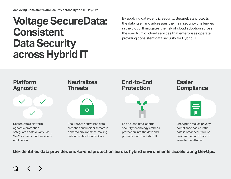### **Voltage SecureData: Consistent Data Security across Hybrid IT**

By applying data-centric security, SecureData protects the data itself and addresses the main security challenges in the cloud. It mitigates the risk of cloud adoption across the spectrum of cloud services that enterprises operate, providing consistent data security for Hybrid IT.

![](_page_11_Figure_3.jpeg)

**De-identified data provides end-to-end protection across hybrid environments, accelerating DevOps.**

![](_page_11_Picture_5.jpeg)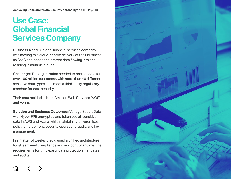### **Achieving Consistent Data Security across Hybrid IT** | Page 13

### **Use Case: Global Financial Services Company**

**Business Need:** A global financial services company was moving to a cloud-centric delivery of their business as SaaS and needed to protect data flowing into and residing in multiple clouds.

**Challenge:** The organization needed to protect data for over 100 million customers, with more than 40 different sensitive data types, and meet a third-party regulatory mandate for data security.

Their data resided in both Amazon Web Services (AWS) and Azure.

**Solution and Business Outcomes:** Voltage SecureData with Hyper FPE encrypted and tokenized all sensitive data in AWS and Azure, while maintaining on-premises policy enforcement, security operations, audit, and key management.

In a matter of weeks, they gained a unified architecture for streamlined compliance and risk control and met the requirements for third-party data protection mandates and audits.

![](_page_12_Picture_7.jpeg)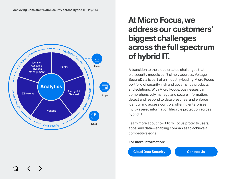![](_page_13_Figure_1.jpeg)

### **At Micro Focus, we address our customers' biggest challenges across the full spectrum of hybrid IT.**

A transition to the cloud creates challenges that old security models can't simply address. Voltage SecureData is part of an industry-leading Micro Focus portfolio of security, risk and governance products and solutions. With Micro Focus, businesses can comprehensively manage and secure information; detect and respond to data breaches; and enforce identity and access controls; offering enterprises multi-layered information lifecycle protection across hybrid IT.

Learn more about how Micro Focus protects users, apps, and data—enabling companies to achieve a competitive edge.

### **For more information:**

![](_page_13_Picture_6.jpeg)

1п1